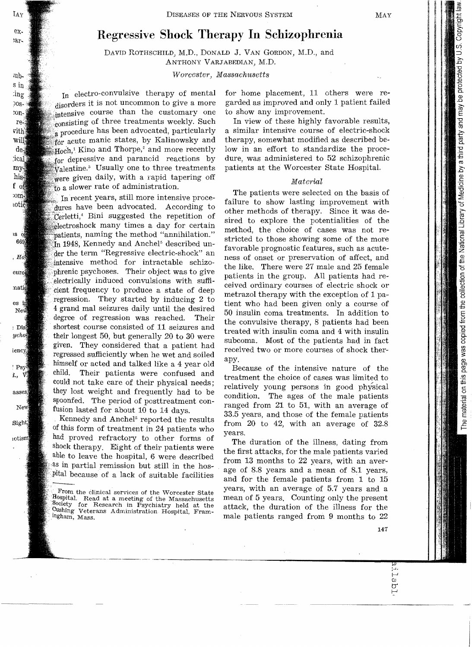# **Regressive Shock Therapy In Schizophrenia**

DAVID ROTHSCHILD, M.D., DONALD J. VAN GORDON, M.D., and ANTHONY VARJABEDIAN, M.D.

*Worcester) Massachusetts* 

In electro-convulsive therapy of mental disorders it is not uncommon to give a more intensive course than the customary one consisting of three treatments weekly. Such a procedure has been advocated, particularly for acute manic states, by Kalinowsky and  $Hoch<sup>1</sup>$  Kino and Thorpe,<sup>2</sup> and more recently for depressive and parancid reactions by Walentine.<sup>3</sup> Usually one to three treatments were given daily, with a rapid tapering off to a slower rate of administration.

In recent years, still more intensive procehave been advocated. According to Terletti,<sup>4</sup> Bini suggested the repetition of Meetroshock many times a day for certain matients, naming the method "annihilation." 1948, Kennedy and Anche15 described unthe term "Regressive electric-shock" an intensive method for intractable schizophrenic psychoses. Their object was to give electrically induced convulsions with sufficient frequency to produce a state of deep regression. They started by inducing 2 to 4 grand mal seizures daily until the desired degree of regression was reached. Their shortest course consisted of 11 seizures and their longest 50, but generally 20 to 30 were given. They considered that a patient had regressed sufficiently when he wet and soiled himself or acted and talked like a 4 year old<br>child. Their patients were confused and Their patients were confused and could not take care of their physical needs; they lost weight and frequently had to be spoonfed. The period of posttreatment confusion lasted for about 10 to 14 days.

. Kennedy and Anchel" reported the results of this form of treatment in 24 patients who had proved refractory to other forms of shock therapy. Eight of their patients were able to leave the hospital, 6 were described as in partial remission but still in the hos-.pital because of a lack of suitable facilities

for home placement, 11 others were regarded as improved and only 1 patient failed to show any improvement.

In view of these highly favorable results, a similar intensive course of electric-shock therapy, somewhat modified as described below in an effort to standardize the procedure was administered to 52 schizophrenic patients at the Worcester State Hospital.

# *Material*

The patients were selected on the basis of failure to show lasting improvement with other methods of therapy. Since it was desired to explore the potentialities of the method, the choice of cases was not restricted to those showing some of the more favorable prognostic features, such as acuteness of onset or preservation of affect, and the like. There were 27 male and 25 female patients in the group. All patients had received ordinary courses of electric shock or metrazol therapy with the exception of 1 patient who had been given only a course of 50 insulin coma treatments. In addition to the convulsive therapy, 8 patients had been treated with insulin coma and 4 with insulin subcoma. Most of the patients had in fact received two or more courses of shock therapy.

Because of the intensive nature of the treatment the choice of cases was limited to relatively young persons in good physical condition. The ages of the male patients ranged from 21 to 51, with an average of 33.5 years, and those of the female patients from 20 to 42, with an average of 32.8 years.

The duration of the illness, dating from the first attacks, for the male patients varied from 13 months to 22 years, with an average of 8.8 years and a mean of 8.1 years, and for the female patients from 1 to 15 years, with an average of 5.7 years and a mean of 5 years. Counting only the present attack, the duration of the illness for the male patients ranged from 9 months to 22

From the clinical services of the Worcester State <Hospital. Read at a meeting of the Massachusetts Society for Research in Psychiatry held at the Cushing Veterans Administration Hospital, Fram-<br>ingham, Mass.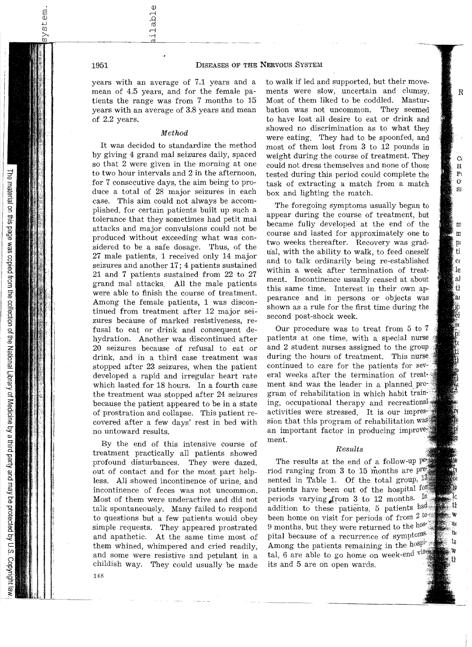years with an average of 7.1 years and a mean of 4.5 years, and for the female patients the range was from 7 months to 15 years with an average of 3.8 years and mean of 2.2 years.

### Method

It was decided to standardize the method by giving 4 grand mal seizures daily, spaced so that 2 were given in the morning at one to two hour intervals and 2 in the afternoon, for 7 consecutive days, the aim being to produce a total of 28 major seizures in each case. This aim could not always be accomplished, for certain patients built up such a tolerance that they sometimes had petit mal attacks and major convulsions could not be produced without exceeding what was considered to be a safe dosage. Thus, of the 27 male patients, 1 received only 14 major seizures and another 17; 4 patients sustained 21 and 7 patients sustained from 22 to 27 grand mal attacks, All the male patients were able to finish the course of treatment. Among the female patients, 1 was discontinued from treatment after 12 major seizures because of marked resistiveness, refusal to eat or drink and consequent dehydration. Another was discontinued after 20 seizures because of refusal to eat or drink, and in a third case treatment was stopped after 23 seizures, when the patient developed a rapid and irregular heart rate which lasted for 18 hours. In a fourth case the treatment was stopped after 24 seizures because the patient appeared to be in a state of prostration and collapse. This patient recovered after a few days' rest in bed with no untoward results.

By the end of this intensive course of treatment practically all patients showed profound disturbances. They were dazed, out of contact and for the most part helpless. All showed incontinence of urine, and incontinence of feces was not uncommon. Most of them were underactive and did not talk spontaneously. Many failed to respond to questions but a few patients would obey simple requests. They appeared prostrated and apathetic. At the same time most of them whined, whimpered and cried readily, and some were resistive and petulant in a childish way. They could usually be made

to walk if led and supported, but their movements were slow, uncertain and clumsy. Most of them liked to be coddled. Masturbation was not uncommon. They seemed to have lost all desire to eat or drink and showed no discrimination as to what they were eating. They had to be spoonfed, and most of them lost from 3 to 12 pounds in weight during the course of treatment. They could not dress themselves and none of those tested during this period could complete the task of extracting a match from a match box and lighting the match.

The foregoing symptoms usually began to appear during the course of treatment, but became fully developed at the end of the course and lasted for approximately one to two weeks thereafter. Recovery was gradual, with the ability to walk, to feed oneself and to talk ordinarily being re-established within a week after termination of treat· ment. Incontinence usually ceased at about this same time. Interest in their own appearance and in persons or objects was shown as a rule for the first time during the second post-shock week.

Our procedure was to treat from 5 to 7 patients at one time, with a special nurse and 2 student nurses assigned to the group during the hours of treatment. This nurse continued to care for the patients for several weeks after the termination of treated ment and was the leader in a planned gram of rehabilitation in which habit training, occupational therapy and recreational activities were stressed. It is our impression that this program of rehabilitation was an important factor in producing improvers ment.

# *Results*

The results at the end of a follow-up  $p_{\mathcal{B}}$ riod ranging from 3 to 15 months are sented in Table 1. Of the total group,  $13$ patients have been out of the hospital form periods varying from 3 to 12 months.  $\frac{10}{4}$ addition to these patients, 5 patients had been home on visit for periods of from  $2^{10}$ 9 months, but they were returned to the host pital because of a recurrence of symptoms. Among the patients remaining in the hospite tal, 6 are able to go home on week-end viss its and 5 are on open wards.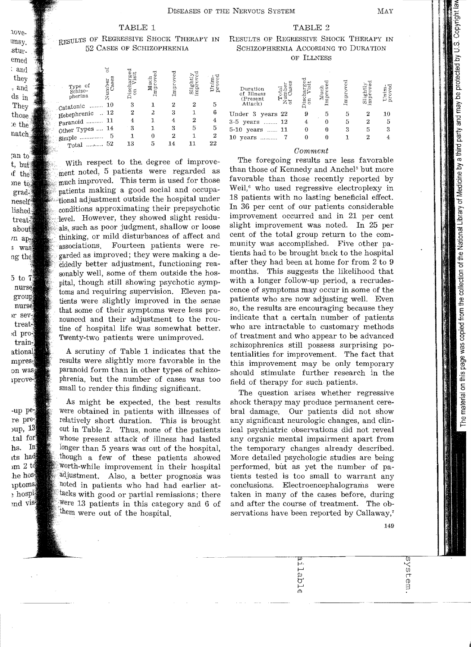# TABLE 1 TABLE 2

# RESULTS OF REGRESSIVE SHOCK THERAPY IN RESULTS OF REGRESSIVE SHOCK THERAPY IN

| Type of<br>Schizo-<br>pherina    | 7<br>Number<br>Cases | Discha<br>ã | Improved<br>Much | Improve | Slightly<br>improved | Unim.<br>prove |
|----------------------------------|----------------------|-------------|------------------|---------|----------------------|----------------|
| Catatonic                        | 10                   | 3           |                  | 2       | 2                    |                |
| Hebephrenic                      | $\therefore$ 12      | 2           |                  | 3       |                      | հ              |
| Paranoid                         | 11                   |             |                  |         | 2                    |                |
| Other Types  14                  |                      | 3           |                  | 3       | 5                    | 5              |
| simple                           | 5                    |             |                  | 2       |                      | 2              |
| $_{\rm Total}$ $_{\ldots,\rm s}$ | 52                   | 13          | 5                | 14      | 11                   | 22             |

With respect to the. degree of improvement noted, 5 patients were regarded as much improved. This term is used for those patients making a good social and occupational adjustment outside the hospital under conditions approximating their prepsychotic level. However, they showed slight residuals, such as poor judgment, shallow or loose thinking, or mild disturbances of affect and associations. Fourteen patients were regarded as improved; they were making a de-Cidedly better adjustment, functioning reasonably well, some of them outside the hospital, though still showing psychotic symptoms and requiring supervision. Eleven patients were slightly improved in the sense that some of their symptoms were less pronounced and their adjustment to the routine of hospital life was somewhat better. Twenty-two patients were unimproved.

A scrutiny of Table 1 indicates that the results were slightly more favorable in the paranoid form than in other types of schizophrenia, but the number of cases was too small to render this finding significant.

As might be expected, the best results were obtained in patients with illnesses of relatively short duration. This is brought out in Table 2. Thus, none of the patients Whose present attack of illness had lasted longer than 5 years was out of the hospital, though a few of these patients showed Worth-While improvement in their hospital adjustment. Also, a better prognosis was noted in patients who had had earlier attacks with good or partial remissions; there Were 13 patients in this category and 6 of them were out of the hospital.

# 52 CASES OF SCHIZOPHRENIA SCHIZOPHRENIA ACCORDING TO DURA'fION OF ILLNESS

| Duration<br>of Illness<br>ಗ<br>ದಿರ<br>ದಿರ<br>(Present<br>Attack) | hischa<br>ភ | Much<br>mpr | Impro | ភូ ទ | Ω, |
|------------------------------------------------------------------|-------------|-------------|-------|------|----|
| Under 3 years 22                                                 |             | 5           |       |      | 10 |
| 3-5 years  12                                                    |             |             | 5     |      | 5  |
| 5-10 years  11                                                   |             |             |       |      | 3  |
| 10 years                                                         |             |             |       |      |    |

# Comment

The foregoing results are less favorable than those of Kennedy and Anchel<sup>5</sup> but more favorable than those recently reported by Weil,<sup>6</sup> who used regressive electroplexy in 18 patients with no lasting beneficial effect. In 36 per cent of our patients considerable improvement occurred and in 21 per cent slight improvement was noted. In 25 per cent of the total group return to the community was accomplished. Five other patients had to be brought back to the hospital after they had been at home for from 2 to 9 months. This suggests the likelihood that with a longer follow-up period, a recrudescence of symptoms may occur in some of the patients who are now adjusting welL Even so, the results are encouraging because they indicate that a certain number of patients who are intractable to customary methods of treatment and who appear to be advanced schizophrenics still possess surprising potentialities for improvement. The fact that this improvement may be only temporary should stimulate further research in the field of therapy for such patients.

The question arises whether regressive shock therapy may produce permanent cerebral damage. Our patients did not show any significant neurologic changes, and clinical psychiatric observations did not reveal any organic mental impairment apart from the temporary changes already described. More detailed psychologic studies are being performed, but as yet the number of patients tested is too small to warrant any conclusions. Electroencephalograms were taken in many of the cases before, during and after the course of treatment. The observations have been reported by Callaway,<sup>7</sup>